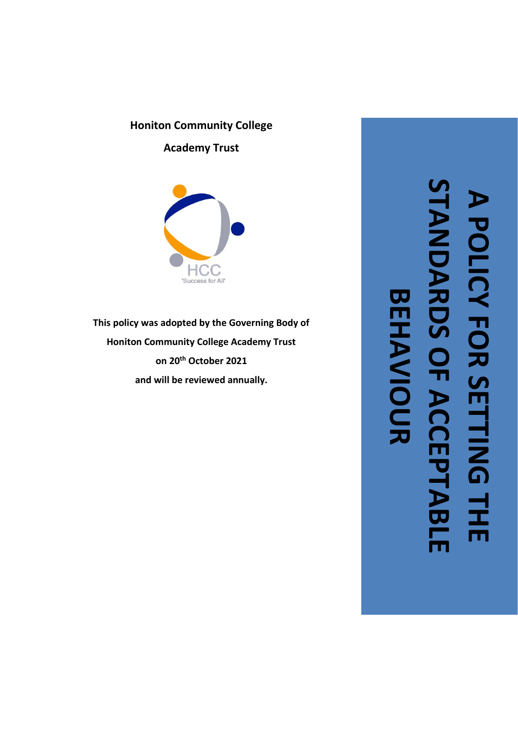# **Honiton Community College**

**Academy Trust**



**This policy was adopted by the Governing Body of Honiton Community College Academy Trust on 20th October 2021 and wil l be reviewed annually.**

**STANDARDS OF ACCEPTABLE A POLICY FOR SETTING THE ANDARD** POLICY FOR SETTING TH **BEHAVIOUR BEHAVIOUR** $\Box$ <u>—</u> ACCEP **ABLE**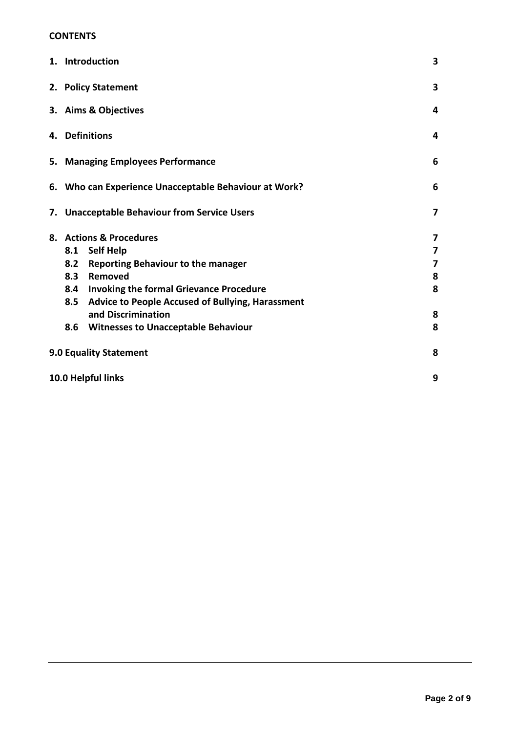#### **CONTENTS**

|                               | 1. Introduction                                       |                                                      |                         |
|-------------------------------|-------------------------------------------------------|------------------------------------------------------|-------------------------|
|                               | 2. Policy Statement                                   |                                                      |                         |
|                               | 3. Aims & Objectives                                  |                                                      |                         |
|                               | 4. Definitions                                        |                                                      |                         |
|                               | 5. Managing Employees Performance                     |                                                      |                         |
|                               | 6. Who can Experience Unacceptable Behaviour at Work? |                                                      |                         |
|                               |                                                       | 7. Unacceptable Behaviour from Service Users         | $\overline{\mathbf{z}}$ |
|                               | 8. Actions & Procedures                               |                                                      | 7                       |
|                               | 8.1                                                   | <b>Self Help</b>                                     | 7                       |
|                               | 8.2                                                   | <b>Reporting Behaviour to the manager</b>            | 7                       |
|                               | 8.3                                                   | Removed                                              | 8                       |
|                               | 8.4                                                   | <b>Invoking the formal Grievance Procedure</b>       | 8                       |
|                               |                                                       | 8.5 Advice to People Accused of Bullying, Harassment |                         |
|                               |                                                       | and Discrimination                                   | 8                       |
|                               | 8.6                                                   | <b>Witnesses to Unacceptable Behaviour</b>           | 8                       |
| <b>9.0 Equality Statement</b> |                                                       |                                                      | 8                       |
| 10.0 Helpful links            |                                                       |                                                      | 9                       |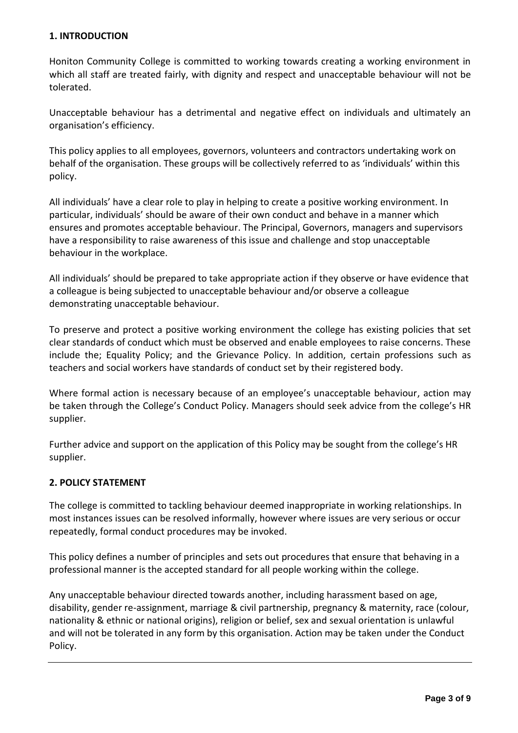## **1. INTRODUCTION**

Honiton Community College is committed to working towards creating a working environment in which all staff are treated fairly, with dignity and respect and unacceptable behaviour will not be tolerated.

Unacceptable behaviour has a detrimental and negative effect on individuals and ultimately an organisation's efficiency.

This policy applies to all employees, governors, volunteers and contractors undertaking work on behalf of the organisation. These groups will be collectively referred to as 'individuals' within this policy.

All individuals' have a clear role to play in helping to create a positive working environment. In particular, individuals' should be aware of their own conduct and behave in a manner which ensures and promotes acceptable behaviour. The Principal, Governors, managers and supervisors have a responsibility to raise awareness of this issue and challenge and stop unacceptable behaviour in the workplace.

All individuals' should be prepared to take appropriate action if they observe or have evidence that a colleague is being subjected to unacceptable behaviour and/or observe a colleague demonstrating unacceptable behaviour.

To preserve and protect a positive working environment the college has existing policies that set clear standards of conduct which must be observed and enable employees to raise concerns. These include the; Equality Policy; and the Grievance Policy. In addition, certain professions such as teachers and social workers have standards of conduct set by their registered body.

Where formal action is necessary because of an employee's unacceptable behaviour, action may be taken through the College's Conduct Policy. Managers should seek advice from the college's HR supplier.

Further advice and support on the application of this Policy may be sought from the college's HR supplier.

# **2. POLICY STATEMENT**

The college is committed to tackling behaviour deemed inappropriate in working relationships. In most instances issues can be resolved informally, however where issues are very serious or occur repeatedly, formal conduct procedures may be invoked.

This policy defines a number of principles and sets out procedures that ensure that behaving in a professional manner is the accepted standard for all people working within the college.

Any unacceptable behaviour directed towards another, including harassment based on age, disability, gender re-assignment, marriage & civil partnership, pregnancy & maternity, race (colour, nationality & ethnic or national origins), religion or belief, sex and sexual orientation is unlawful and will not be tolerated in any form by this organisation. Action may be taken under the Conduct Policy.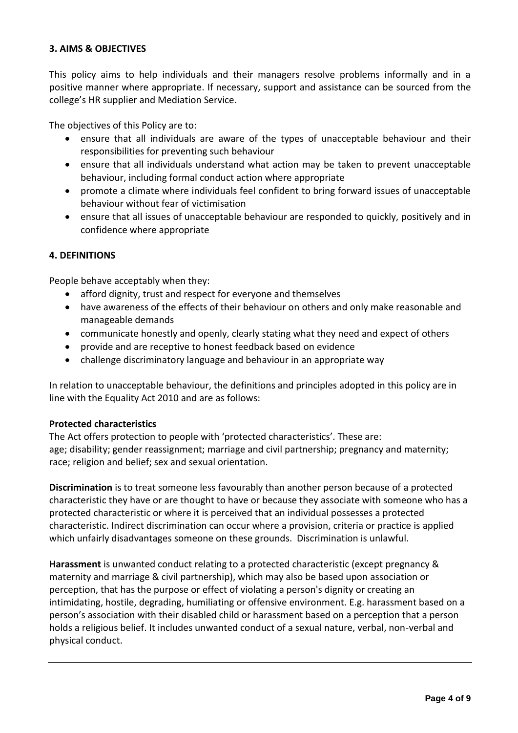## **3. AIMS & OBJECTIVES**

This policy aims to help individuals and their managers resolve problems informally and in a positive manner where appropriate. If necessary, support and assistance can be sourced from the college's HR supplier and Mediation Service.

The objectives of this Policy are to:

- ensure that all individuals are aware of the types of unacceptable behaviour and their responsibilities for preventing such behaviour
- ensure that all individuals understand what action may be taken to prevent unacceptable behaviour, including formal conduct action where appropriate
- promote a climate where individuals feel confident to bring forward issues of unacceptable behaviour without fear of victimisation
- ensure that all issues of unacceptable behaviour are responded to quickly, positively and in confidence where appropriate

#### **4. DEFINITIONS**

People behave acceptably when they:

- afford dignity, trust and respect for everyone and themselves
- have awareness of the effects of their behaviour on others and only make reasonable and manageable demands
- communicate honestly and openly, clearly stating what they need and expect of others
- provide and are receptive to honest feedback based on evidence
- challenge discriminatory language and behaviour in an appropriate way

In relation to unacceptable behaviour, the definitions and principles adopted in this policy are in line with the Equality Act 2010 and are as follows:

#### **Protected characteristics**

The Act offers protection to people with 'protected characteristics'. These are: age; disability; gender reassignment; marriage and civil partnership; pregnancy and maternity; race; religion and belief; sex and sexual orientation.

**Discrimination** is to treat someone less favourably than another person because of a protected characteristic they have or are thought to have or because they associate with someone who has a protected characteristic or where it is perceived that an individual possesses a protected characteristic. Indirect discrimination can occur where a provision, criteria or practice is applied which unfairly disadvantages someone on these grounds. Discrimination is unlawful.

**Harassment** is unwanted conduct relating to a protected characteristic (except pregnancy & maternity and marriage & civil partnership), which may also be based upon association or perception, that has the purpose or effect of violating a person's dignity or creating an intimidating, hostile, degrading, humiliating or offensive environment. E.g. harassment based on a person's association with their disabled child or harassment based on a perception that a person holds a religious belief. It includes unwanted conduct of a sexual nature, verbal, non-verbal and physical conduct.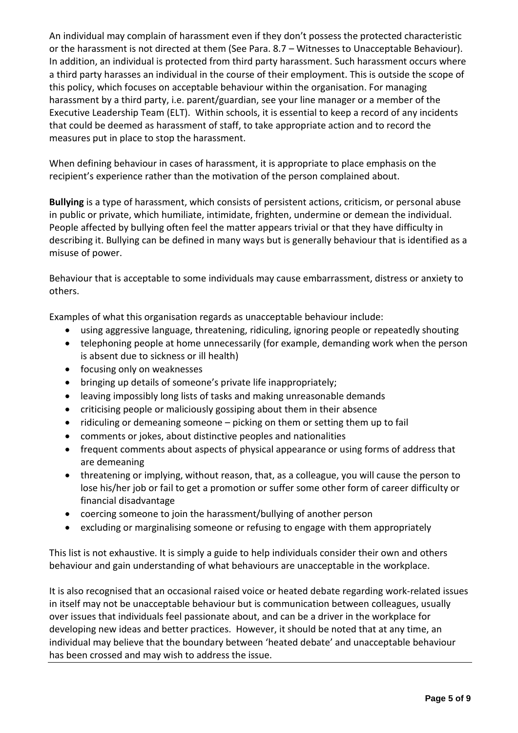An individual may complain of harassment even if they don't possess the protected characteristic or the harassment is not directed at them (See Para. 8.7 – Witnesses to Unacceptable Behaviour). In addition, an individual is protected from third party harassment. Such harassment occurs where a third party harasses an individual in the course of their employment. This is outside the scope of this policy, which focuses on acceptable behaviour within the organisation. For managing harassment by a third party, i.e. parent/guardian, see your line manager or a member of the Executive Leadership Team (ELT). Within schools, it is essential to keep a record of any incidents that could be deemed as harassment of staff, to take appropriate action and to record the measures put in place to stop the harassment.

When defining behaviour in cases of harassment, it is appropriate to place emphasis on the recipient's experience rather than the motivation of the person complained about.

**Bullying** is a type of harassment, which consists of persistent actions, criticism, or personal abuse in public or private, which humiliate, intimidate, frighten, undermine or demean the individual. People affected by bullying often feel the matter appears trivial or that they have difficulty in describing it. Bullying can be defined in many ways but is generally behaviour that is identified as a misuse of power.

Behaviour that is acceptable to some individuals may cause embarrassment, distress or anxiety to others.

Examples of what this organisation regards as unacceptable behaviour include:

- using aggressive language, threatening, ridiculing, ignoring people or repeatedly shouting
- telephoning people at home unnecessarily (for example, demanding work when the person is absent due to sickness or ill health)
- focusing only on weaknesses
- bringing up details of someone's private life inappropriately;
- leaving impossibly long lists of tasks and making unreasonable demands
- criticising people or maliciously gossiping about them in their absence
- ridiculing or demeaning someone picking on them or setting them up to fail
- comments or jokes, about distinctive peoples and nationalities
- frequent comments about aspects of physical appearance or using forms of address that are demeaning
- threatening or implying, without reason, that, as a colleague, you will cause the person to lose his/her job or fail to get a promotion or suffer some other form of career difficulty or financial disadvantage
- coercing someone to join the harassment/bullying of another person
- excluding or marginalising someone or refusing to engage with them appropriately

This list is not exhaustive. It is simply a guide to help individuals consider their own and others behaviour and gain understanding of what behaviours are unacceptable in the workplace.

It is also recognised that an occasional raised voice or heated debate regarding work-related issues in itself may not be unacceptable behaviour but is communication between colleagues, usually over issues that individuals feel passionate about, and can be a driver in the workplace for developing new ideas and better practices. However, it should be noted that at any time, an individual may believe that the boundary between 'heated debate' and unacceptable behaviour has been crossed and may wish to address the issue.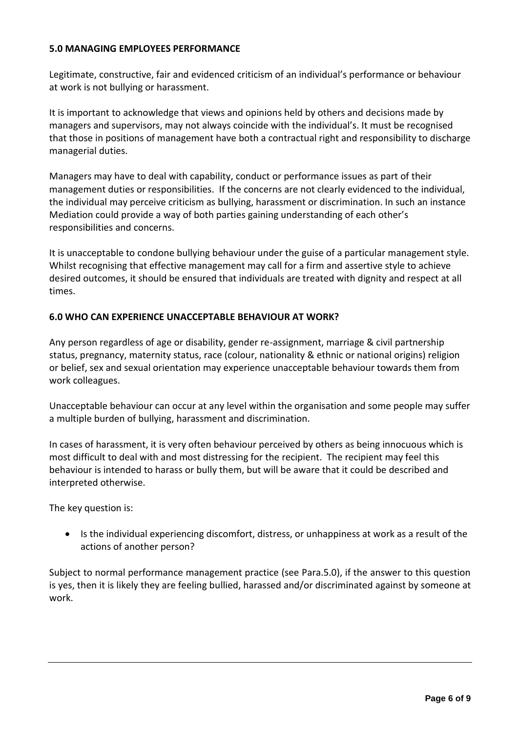## **5.0 MANAGING EMPLOYEES PERFORMANCE**

Legitimate, constructive, fair and evidenced criticism of an individual's performance or behaviour at work is not bullying or harassment.

It is important to acknowledge that views and opinions held by others and decisions made by managers and supervisors, may not always coincide with the individual's. It must be recognised that those in positions of management have both a contractual right and responsibility to discharge managerial duties.

Managers may have to deal with capability, conduct or performance issues as part of their management duties or responsibilities. If the concerns are not clearly evidenced to the individual, the individual may perceive criticism as bullying, harassment or discrimination. In such an instance Mediation could provide a way of both parties gaining understanding of each other's responsibilities and concerns.

It is unacceptable to condone bullying behaviour under the guise of a particular management style. Whilst recognising that effective management may call for a firm and assertive style to achieve desired outcomes, it should be ensured that individuals are treated with dignity and respect at all times.

## **6.0 WHO CAN EXPERIENCE UNACCEPTABLE BEHAVIOUR AT WORK?**

Any person regardless of age or disability, gender re-assignment, marriage & civil partnership status, pregnancy, maternity status, race (colour, nationality & ethnic or national origins) religion or belief, sex and sexual orientation may experience unacceptable behaviour towards them from work colleagues.

Unacceptable behaviour can occur at any level within the organisation and some people may suffer a multiple burden of bullying, harassment and discrimination.

In cases of harassment, it is very often behaviour perceived by others as being innocuous which is most difficult to deal with and most distressing for the recipient. The recipient may feel this behaviour is intended to harass or bully them, but will be aware that it could be described and interpreted otherwise.

The key question is:

• Is the individual experiencing discomfort, distress, or unhappiness at work as a result of the actions of another person?

Subject to normal performance management practice (see Para.5.0), if the answer to this question is yes, then it is likely they are feeling bullied, harassed and/or discriminated against by someone at work.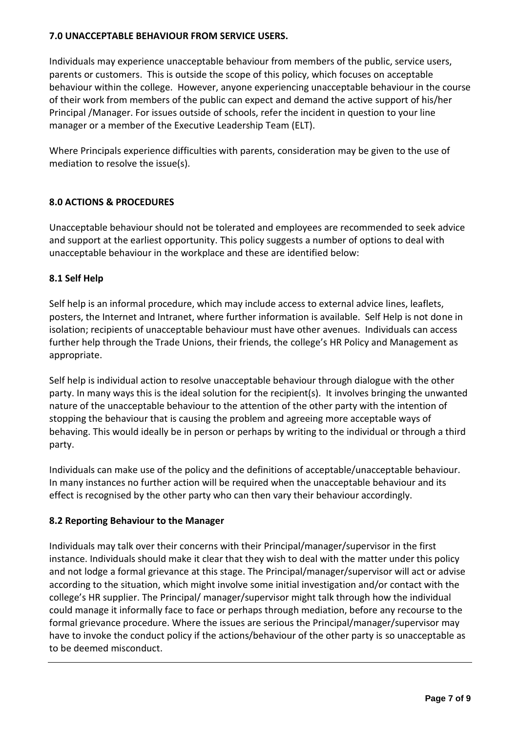## **7.0 UNACCEPTABLE BEHAVIOUR FROM SERVICE USERS.**

Individuals may experience unacceptable behaviour from members of the public, service users, parents or customers. This is outside the scope of this policy, which focuses on acceptable behaviour within the college. However, anyone experiencing unacceptable behaviour in the course of their work from members of the public can expect and demand the active support of his/her Principal /Manager. For issues outside of schools, refer the incident in question to your line manager or a member of the Executive Leadership Team (ELT).

Where Principals experience difficulties with parents, consideration may be given to the use of mediation to resolve the issue(s).

## **8.0 ACTIONS & PROCEDURES**

Unacceptable behaviour should not be tolerated and employees are recommended to seek advice and support at the earliest opportunity. This policy suggests a number of options to deal with unacceptable behaviour in the workplace and these are identified below:

## **8.1 Self Help**

Self help is an informal procedure, which may include access to external advice lines, leaflets, posters, the Internet and Intranet, where further information is available. Self Help is not done in isolation; recipients of unacceptable behaviour must have other avenues. Individuals can access further help through the Trade Unions, their friends, the college's HR Policy and Management as appropriate.

Self help is individual action to resolve unacceptable behaviour through dialogue with the other party. In many ways this is the ideal solution for the recipient(s). It involves bringing the unwanted nature of the unacceptable behaviour to the attention of the other party with the intention of stopping the behaviour that is causing the problem and agreeing more acceptable ways of behaving. This would ideally be in person or perhaps by writing to the individual or through a third party.

Individuals can make use of the policy and the definitions of acceptable/unacceptable behaviour. In many instances no further action will be required when the unacceptable behaviour and its effect is recognised by the other party who can then vary their behaviour accordingly.

#### **8.2 Reporting Behaviour to the Manager**

Individuals may talk over their concerns with their Principal/manager/supervisor in the first instance. Individuals should make it clear that they wish to deal with the matter under this policy and not lodge a formal grievance at this stage. The Principal/manager/supervisor will act or advise according to the situation, which might involve some initial investigation and/or contact with the college's HR supplier. The Principal/ manager/supervisor might talk through how the individual could manage it informally face to face or perhaps through mediation, before any recourse to the formal grievance procedure. Where the issues are serious the Principal/manager/supervisor may have to invoke the conduct policy if the actions/behaviour of the other party is so unacceptable as to be deemed misconduct.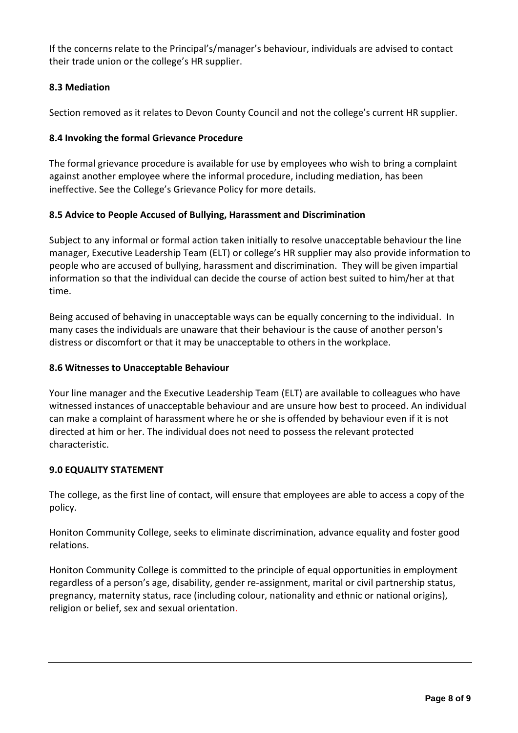If the concerns relate to the Principal's/manager's behaviour, individuals are advised to contact their trade union or the college's HR supplier.

# **8.3 Mediation**

Section removed as it relates to Devon County Council and not the college's current HR supplier.

# **8.4 Invoking the formal Grievance Procedure**

The formal grievance procedure is available for use by employees who wish to bring a complaint against another employee where the informal procedure, including mediation, has been ineffective. See the College's Grievance Policy for more details.

# **8.5 Advice to People Accused of Bullying, Harassment and Discrimination**

Subject to any informal or formal action taken initially to resolve unacceptable behaviour the line manager, Executive Leadership Team (ELT) or college's HR supplier may also provide information to people who are accused of bullying, harassment and discrimination. They will be given impartial information so that the individual can decide the course of action best suited to him/her at that time.

Being accused of behaving in unacceptable ways can be equally concerning to the individual. In many cases the individuals are unaware that their behaviour is the cause of another person's distress or discomfort or that it may be unacceptable to others in the workplace.

# **8.6 Witnesses to Unacceptable Behaviour**

Your line manager and the Executive Leadership Team (ELT) are available to colleagues who have witnessed instances of unacceptable behaviour and are unsure how best to proceed. An individual can make a complaint of harassment where he or she is offended by behaviour even if it is not directed at him or her. The individual does not need to possess the relevant protected characteristic.

# **9.0 EQUALITY STATEMENT**

The college, as the first line of contact, will ensure that employees are able to access a copy of the policy.

Honiton Community College, seeks to eliminate discrimination, advance equality and foster good relations.

Honiton Community College is committed to the principle of equal opportunities in employment regardless of a person's age, disability, gender re-assignment, marital or civil partnership status, pregnancy, maternity status, race (including colour, nationality and ethnic or national origins), religion or belief, sex and sexual orientation.